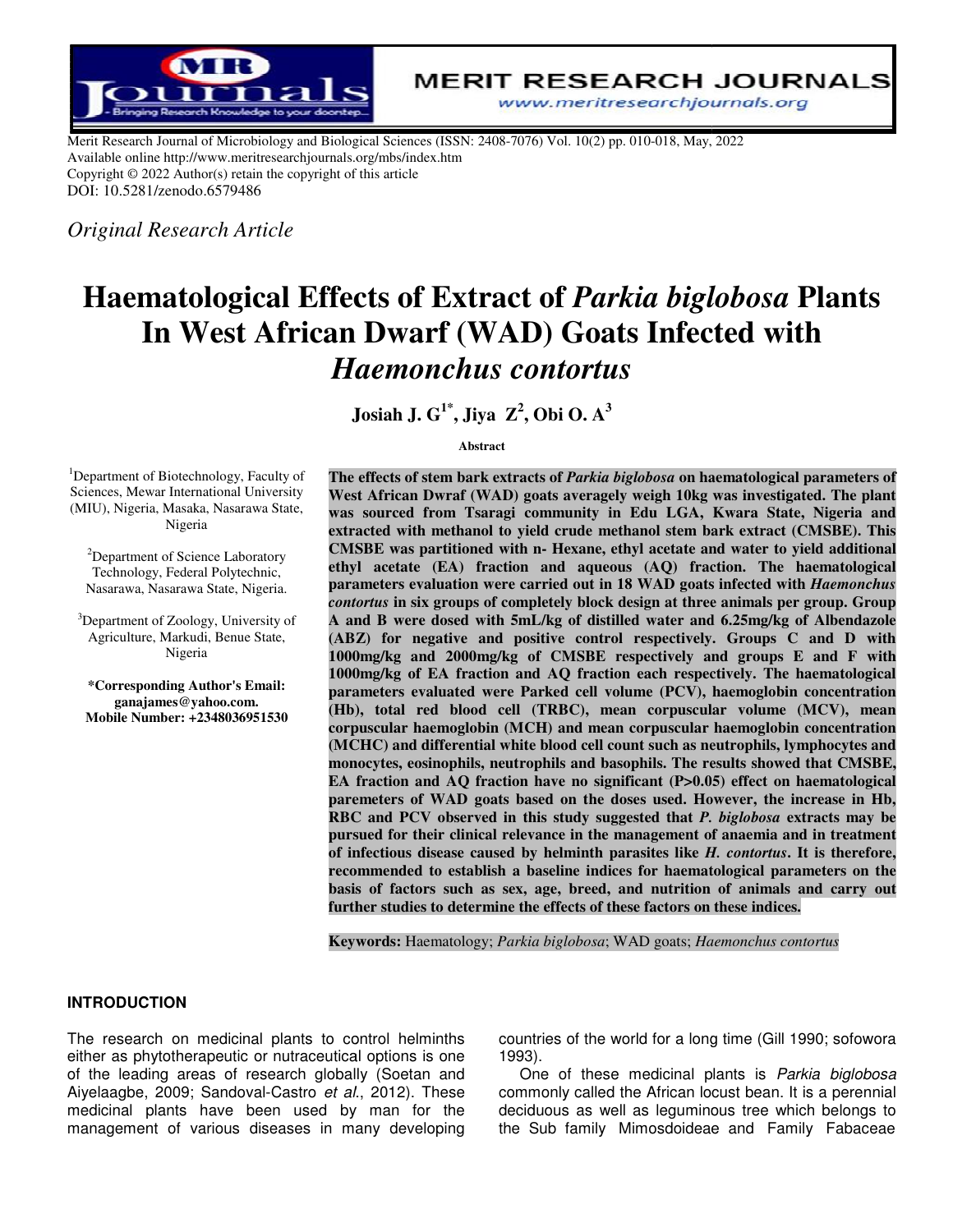

Merit Research Journal of Microbiology and Biological Sciences (ISSN: 2408-7076) Vol. 10(2) pp. 010-018, May, 2022 Available online http://www.meritresearchjournals.org/mbs/index.htm Copyright © 2022 Author(s) retain the copyright of this article DOI: 10.5281/zenodo.6579486

*Original Research Article* 

# **Haematological Effects of Extract of** *Parkia biglobosa* **Plants In West African Dwarf (WAD) Goats Infected with Goats Infected with** *Haemonchus contortus*

**Josiah J. G 1\*, Jiya Z<sup>2</sup> , Obi O. A<sup>3</sup>**

**Abstract** 

<sup>1</sup>Department of Biotechnology, Faculty of Sciences, Mewar International University (MIU), Nigeria, Masaka, Nasarawa State, Nigeria

<sup>2</sup>Department of Science Laboratory Technology, Federal Polytechnic, Nasarawa, Nasarawa State, Nigeria.

<sup>3</sup>Department of Zoology, University of Agriculture, Markudi, Benue State, Nigeria

**\*Corresponding Author's Email: ganajames@yahoo.com. Mobile Number: +2348036951530** 

The effects of stem bark extracts of *Parkia biglobosa* on haematological parameters of West African Dwraf (WAD) goats averagely weigh 10kg was investigated. The plant<br>was sourced from Tsaragi community in Edu LGA, Kwara State, Nigeria and **was sourced from Tsaragi community in Edu LGA, Kwara State, Nigeria and**  extracted with methanol to yield crude methanol stem bark extract (CMSBE). This **CMSBE** was partitioned with n- Hexane, ethyl acetate and water to yield additional **ethyl acetate (EA) fraction and aqueous (AQ) fraction. The haematological and haematological CMSBE was partitioned with n- Hexane, ethyl acetate and water to yield additional ethyl acetate (EA) fraction and aqueous (AQ) fraction. The haematological parameters evaluation were carried out in 18 WAD goats infected w** *contortus contortus* **in six groups of completely block design at three animals per group animals per group. Group A and B were dosed with 5mL/kg of distilled water and 6.25mg/kg of Albendazole Albendazole**  (ABZ) for negative and positive control respectively. Groups C and D with 1000mg/kg and 2000mg/kg of CMSBE respectively and groups E and F with 1000mg/kg of EA fraction and AQ fraction each respectively. The haematological (ABZ) for negative and positive control respectively. Groups C and D with 1000mg/kg and 2000mg/kg of CMSBE respectively and groups E and F with 1000mg/kg of EA fraction and AQ fraction each respectively. The haematological **(Hb), total red blood cell (TRBC), mean corpuscular volume (MCV), mean red mean (MCV), mean corpuscular haemoglo haemoglobin (MCH) and mean corpuscular haemoglobin concentration bin and mean concentration (MCHC) and differential white blood cell count such as neutrophils, lymphocytes and and monocytes monocytes, eosinophils, neutrophils and basophils. The results showed that CMSBE, that CMSBE, EA fraction and AQ fraction have no significant (P>0.05) effect on haematological paremeters paremeters of WAD goats based on the doses used. However, the increase in Hb, RBC** and PCV observed in this study suggested that *P. biglobosa* extracts may be **pursued for their clinical relevance in the management of anaemia and in treatment of anaemia treatment of infectious disease caused by helminth parasites like infectious parasites** *H. contortus* **. It is therefore,**  recommended to establish a baseline indices for haematological parameters on the basis of factors such as sex, age, breed, and nutrition of animals and carry out further studies to determine the effects of these factors on these indices.

**Keywords:**  Haematology; *Parkia biglobosa*; WAD goats; *Haemonchus contortus*

### **INTRODUCTION**

The research on medicinal plants to control helminths either as phytotherapeutic or nutraceutical options is one The research on medicinal plants to control helminths<br>either as phytotherapeutic or nutraceutical options is one<br>of the leading areas of research globally (Soetan and Aiyelaagbe, 2009; Sandoval-Castro et al., 2012). These medicinal plants have been used by man for the management of various diseases in many developing The research on medicinal plants to control helminths countries of the world for a long time<br>either as phytotherapeutic or nutraceutical options is one 1993).<br>of the leading areas of research globally (Soetan and One of th

1993). countries of the world for a long time (Gill 1990; sofowora

One of these medicinal plants is Parkia biglobosa commonly called the African locust bean. It is a perennial deciduous as well as leguminous tree which belongs to the Sub family Mimosdoideae commonly called the African locust bean. It is a perennial<br>deciduous as well as leguminous tree which belongs to<br>the Sub family Mimosdoideae and Family Fabaceae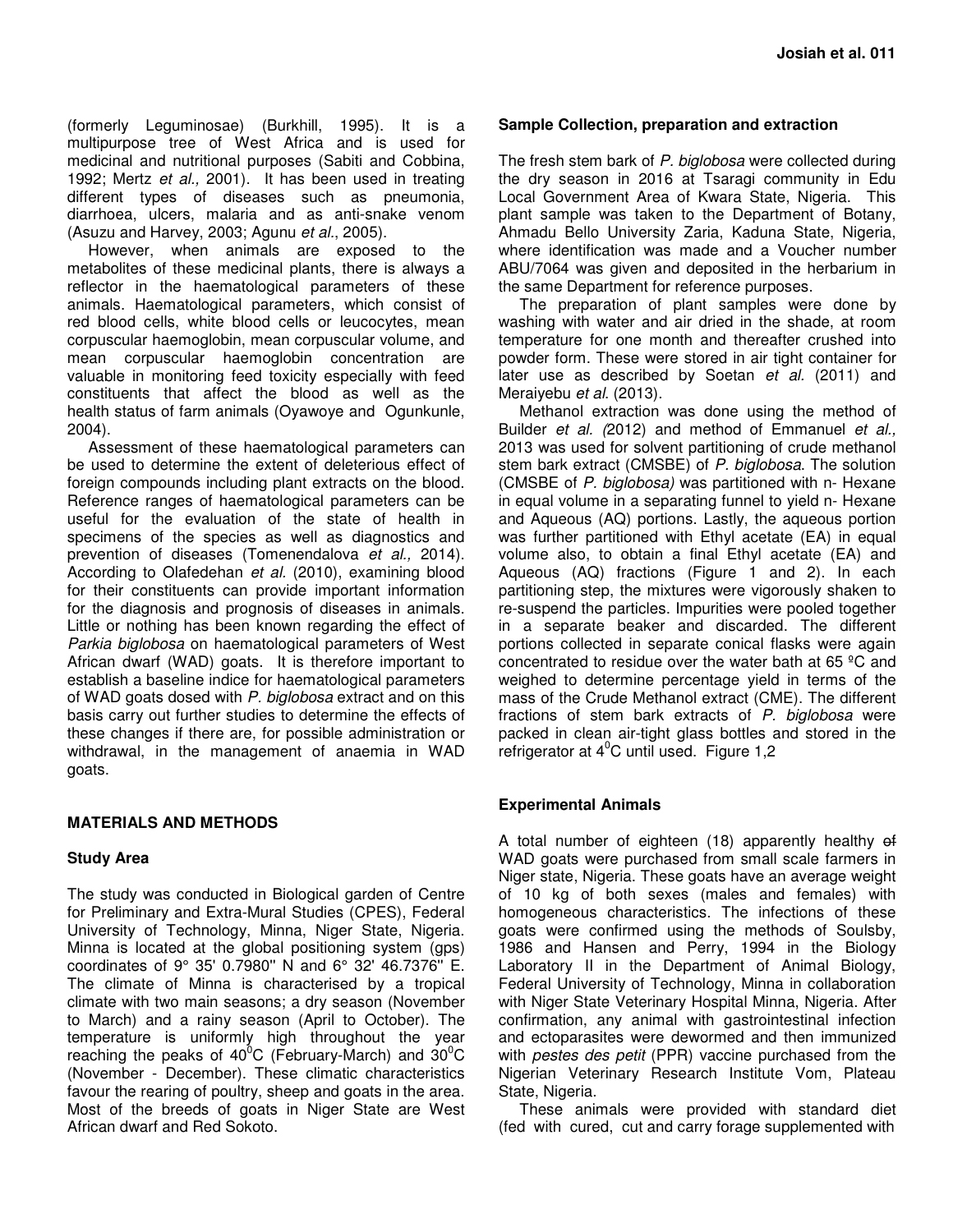(formerly Leguminosae) (Burkhill, 1995). It is a multipurpose tree of West Africa and is used for medicinal and nutritional purposes (Sabiti and Cobbina, 1992; Mertz et al., 2001). It has been used in treating different types of diseases such as pneumonia, diarrhoea, ulcers, malaria and as anti-snake venom (Asuzu and Harvey, 2003; Agunu et al., 2005).

However, when animals are exposed to the metabolites of these medicinal plants, there is always a reflector in the haematological parameters of these animals. Haematological parameters, which consist of red blood cells, white blood cells or leucocytes, mean corpuscular haemoglobin, mean corpuscular volume, and mean corpuscular haemoglobin concentration are valuable in monitoring feed toxicity especially with feed constituents that affect the blood as well as the health status of farm animals (Oyawoye and Ogunkunle, 2004).

Assessment of these haematological parameters can be used to determine the extent of deleterious effect of foreign compounds including plant extracts on the blood. Reference ranges of haematological parameters can be useful for the evaluation of the state of health in specimens of the species as well as diagnostics and prevention of diseases (Tomenendalova et al., 2014). According to Olafedehan et al. (2010), examining blood for their constituents can provide important information for the diagnosis and prognosis of diseases in animals. Little or nothing has been known regarding the effect of Parkia biglobosa on haematological parameters of West African dwarf (WAD) goats. It is therefore important to establish a baseline indice for haematological parameters of WAD goats dosed with P. biglobosa extract and on this basis carry out further studies to determine the effects of these changes if there are, for possible administration or withdrawal, in the management of anaemia in WAD goats.

## **MATERIALS AND METHODS**

### **Study Area**

The study was conducted in Biological garden of Centre for Preliminary and Extra-Mural Studies (CPES), Federal University of Technology, Minna, Niger State, Nigeria. Minna is located at the global positioning system (gps) coordinates of 9° 35' 0.7980'' N and 6° 32' 46.7376'' E. The climate of Minna is characterised by a tropical climate with two main seasons; a dry season (November to March) and a rainy season (April to October). The temperature is uniformly high throughout the year reaching the peaks of  $40^{\circ}$ C (February-March) and  $30^{\circ}$ C (November - December). These climatic characteristics favour the rearing of poultry, sheep and goats in the area. Most of the breeds of goats in Niger State are West African dwarf and Red Sokoto.

## **Sample Collection, preparation and extraction**

The fresh stem bark of P. biglobosa were collected during the dry season in 2016 at Tsaragi community in Edu Local Government Area of Kwara State, Nigeria. This plant sample was taken to the Department of Botany, Ahmadu Bello University Zaria, Kaduna State, Nigeria, where identification was made and a Voucher number ABU/7064 was given and deposited in the herbarium in the same Department for reference purposes.

The preparation of plant samples were done by washing with water and air dried in the shade, at room temperature for one month and thereafter crushed into powder form. These were stored in air tight container for later use as described by Soetan et al. (2011) and Meraiyebu et al. (2013).

Methanol extraction was done using the method of Builder et al. (2012) and method of Emmanuel et al., 2013 was used for solvent partitioning of crude methanol stem bark extract (CMSBE) of P. biglobosa. The solution (CMSBE of P. biglobosa) was partitioned with n- Hexane in equal volume in a separating funnel to yield n- Hexane and Aqueous (AQ) portions. Lastly, the aqueous portion was further partitioned with Ethyl acetate (EA) in equal volume also, to obtain a final Ethyl acetate (EA) and Aqueous (AQ) fractions (Figure 1 and 2). In each partitioning step, the mixtures were vigorously shaken to re-suspend the particles. Impurities were pooled together in a separate beaker and discarded. The different portions collected in separate conical flasks were again concentrated to residue over the water bath at 65 ºC and weighed to determine percentage yield in terms of the mass of the Crude Methanol extract (CME). The different fractions of stem bark extracts of P. biglobosa were packed in clean air-tight glass bottles and stored in the refrigerator at  $4^{\circ}$ C until used. Figure 1,2

### **Experimental Animals**

A total number of eighteen (18) apparently healthy of WAD goats were purchased from small scale farmers in Niger state, Nigeria. These goats have an average weight of 10 kg of both sexes (males and females) with homogeneous characteristics. The infections of these goats were confirmed using the methods of Soulsby, 1986 and Hansen and Perry, 1994 in the Biology Laboratory II in the Department of Animal Biology, Federal University of Technology, Minna in collaboration with Niger State Veterinary Hospital Minna, Nigeria. After confirmation, any animal with gastrointestinal infection and ectoparasites were dewormed and then immunized with *pestes des petit* (PPR) vaccine purchased from the Nigerian Veterinary Research Institute Vom, Plateau State, Nigeria.

These animals were provided with standard diet (fed with cured, cut and carry forage supplemented with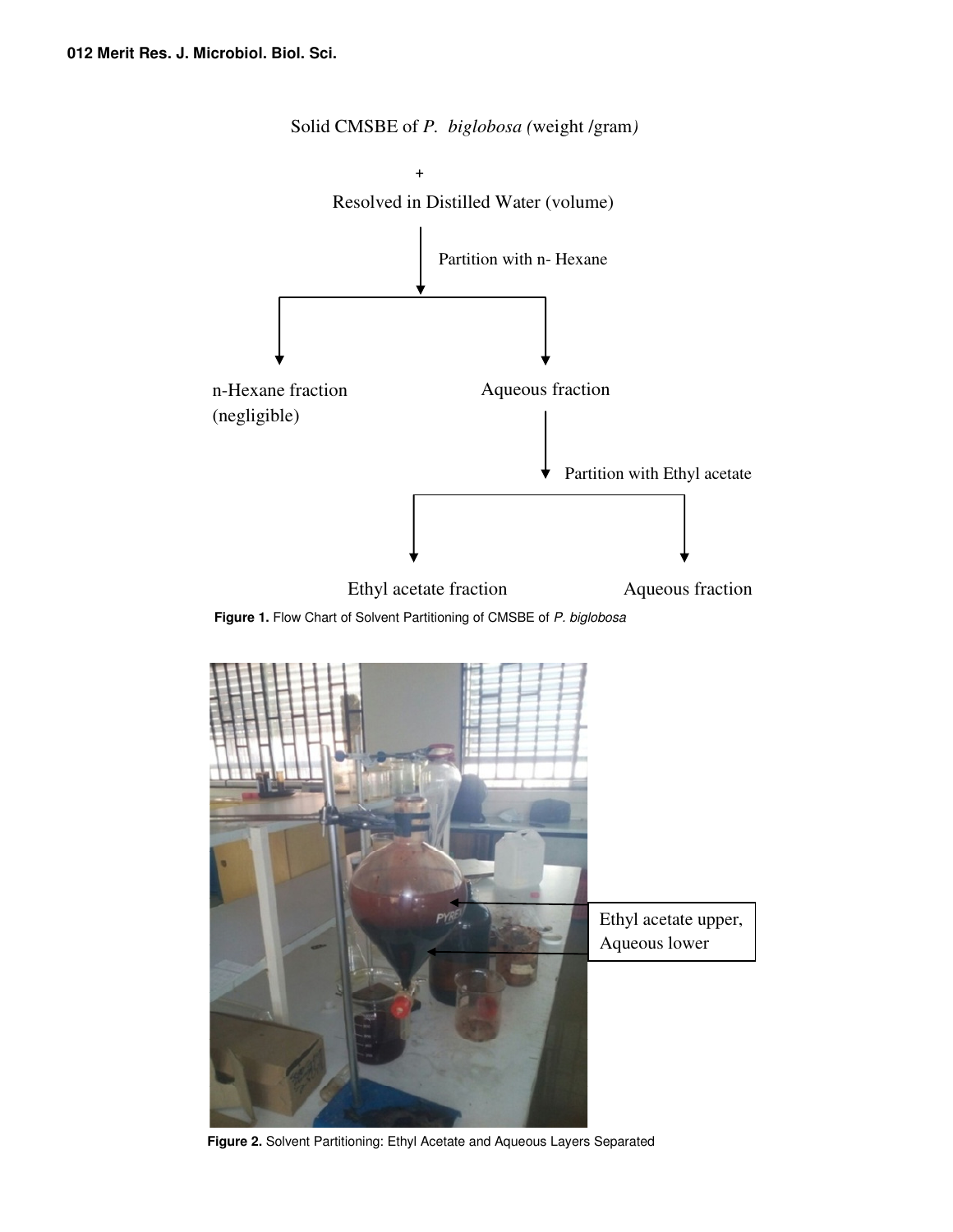

Solid CMSBE of *P. biglobosa (*weight /gram*)* 

Figure 1. Flow Chart of Solvent Partitioning of CMSBE of P. biglobosa



**Figure 2.** Solvent Partitioning: Ethyl Acetate and Aqueous Layers Separated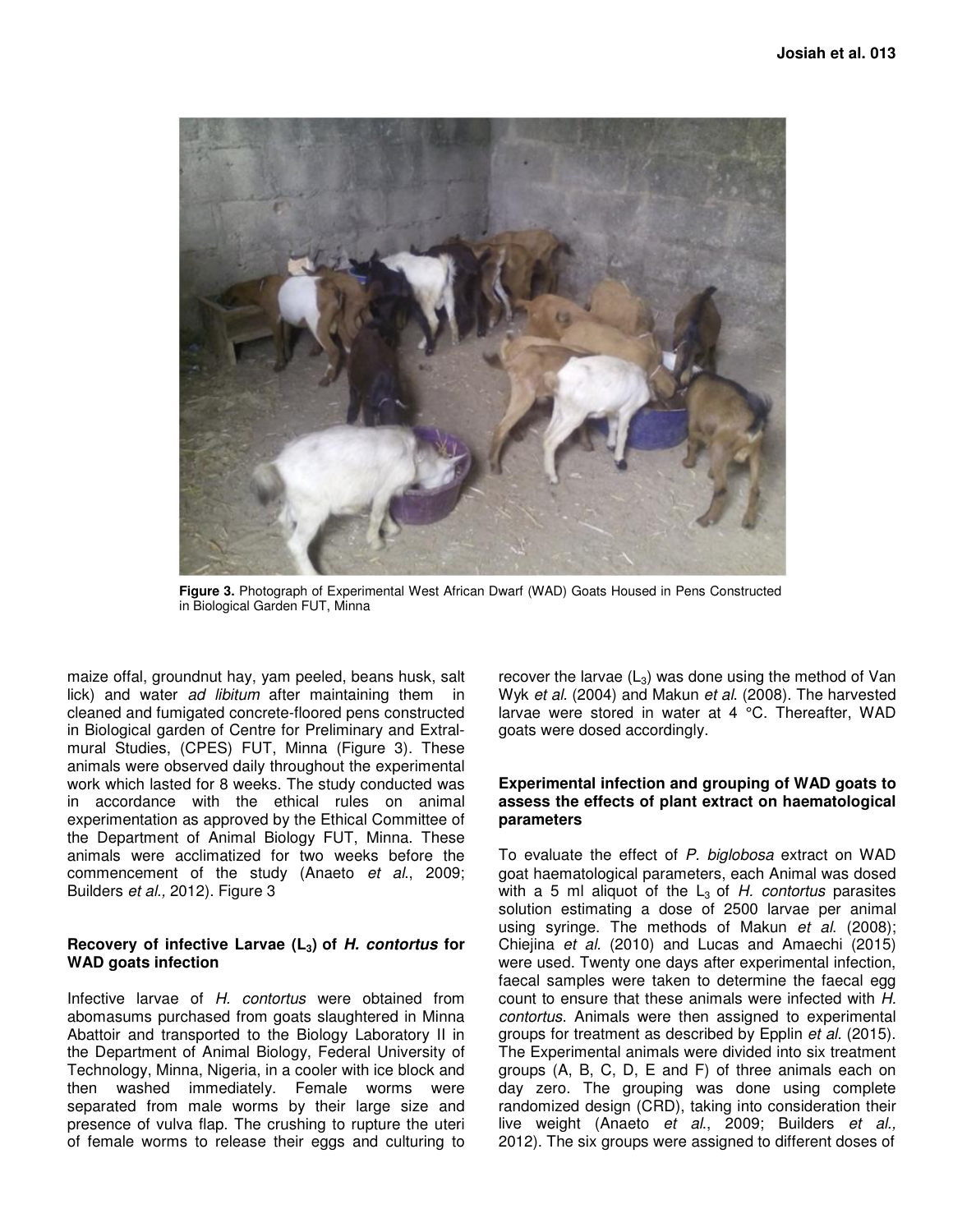

**Figure 3.** Photograph of Experimental West African Dwarf (WAD) Goats Housed in Pens Constructed in Biological Garden FUT, Minna

maize offal, groundnut hay, yam peeled, beans husk, salt lick) and water ad libitum after maintaining them in cleaned and fumigated concrete-floored pens constructed in Biological garden of Centre for Preliminary and Extralmural Studies, (CPES) FUT, Minna (Figure 3). These animals were observed daily throughout the experimental work which lasted for 8 weeks. The study conducted was in accordance with the ethical rules on animal experimentation as approved by the Ethical Committee of the Department of Animal Biology FUT, Minna. These animals were acclimatized for two weeks before the commencement of the study (Anaeto et al., 2009; Builders et al., 2012). Figure 3

## **Recovery of infective Larvae (L3) of H. contortus for WAD goats infection**

Infective larvae of H. contortus were obtained from abomasums purchased from goats slaughtered in Minna Abattoir and transported to the Biology Laboratory II in the Department of Animal Biology, Federal University of Technology, Minna, Nigeria, in a cooler with ice block and then washed immediately. Female worms were separated from male worms by their large size and presence of vulva flap. The crushing to rupture the uteri of female worms to release their eggs and culturing to

recover the larvae  $(L_3)$  was done using the method of Van Wyk et al. (2004) and Makun et al. (2008). The harvested larvae were stored in water at 4 °C. Thereafter, WAD goats were dosed accordingly.

#### **Experimental infection and grouping of WAD goats to assess the effects of plant extract on haematological parameters**

To evaluate the effect of P. biglobosa extract on WAD goat haematological parameters, each Animal was dosed with a 5 ml aliquot of the  $L_3$  of H. contortus parasites solution estimating a dose of 2500 larvae per animal using syringe. The methods of Makun et al. (2008); Chiejina et al. (2010) and Lucas and Amaechi (2015) were used. Twenty one days after experimental infection, faecal samples were taken to determine the faecal egg count to ensure that these animals were infected with H. contortus. Animals were then assigned to experimental groups for treatment as described by Epplin *et al.* (2015). The Experimental animals were divided into six treatment groups (A, B, C, D, E and F) of three animals each on day zero. The grouping was done using complete randomized design (CRD), taking into consideration their live weight (Anaeto et al., 2009; Builders et al., 2012). The six groups were assigned to different doses of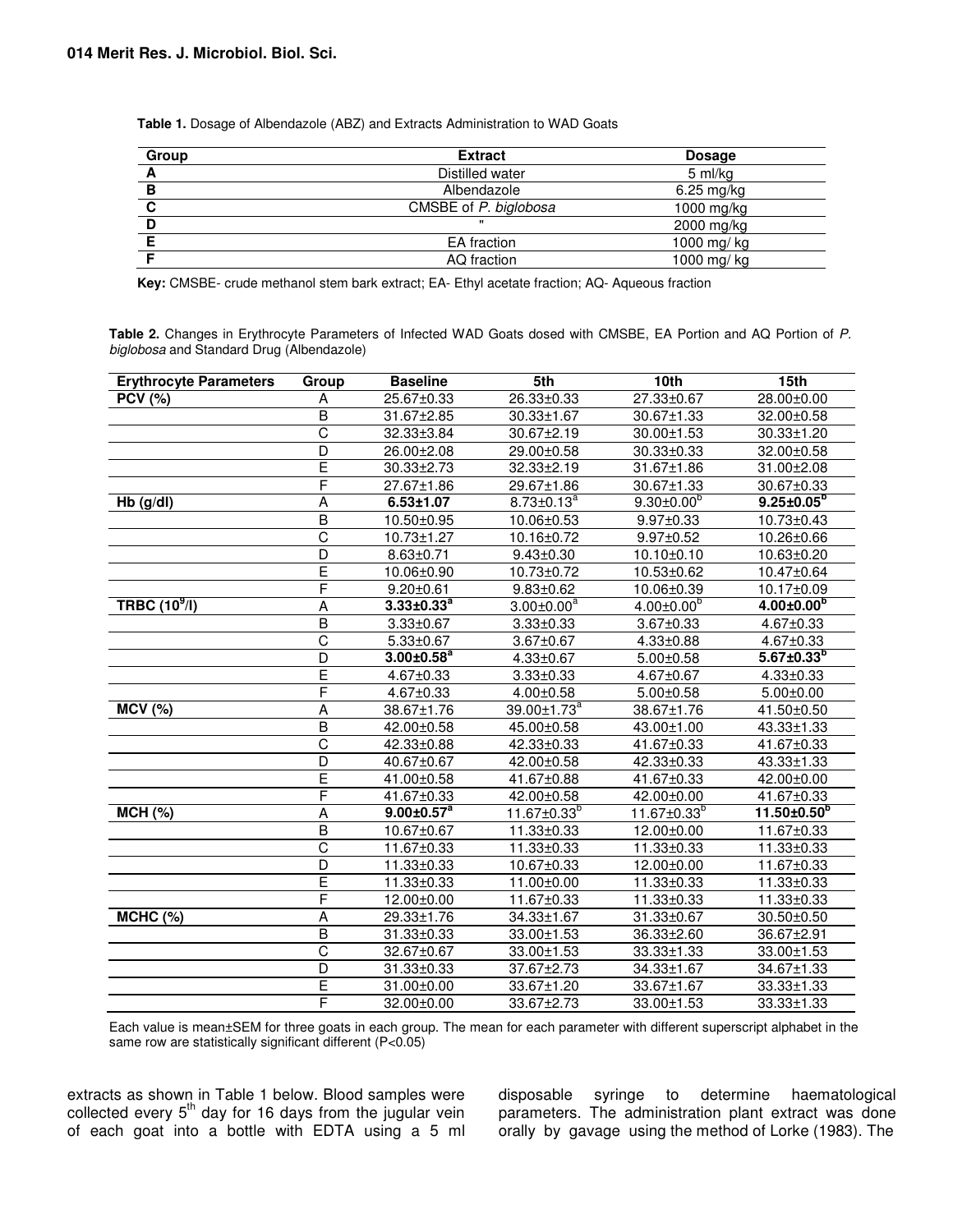**Table 1.** Dosage of Albendazole (ABZ) and Extracts Administration to WAD Goats

| Group | <b>Extract</b>        | <b>Dosage</b>        |  |
|-------|-----------------------|----------------------|--|
|       | Distilled water       | 5 ml/kg              |  |
| в     | Albendazole           | $6.25 \text{ mg/kg}$ |  |
|       | CMSBE of P. biglobosa | 1000 mg/kg           |  |
|       |                       | 2000 mg/kg           |  |
|       | EA fraction           | 1000 mg/ kg          |  |
|       | AQ fraction           | 1000 mg/ kg          |  |

**Key:** CMSBE- crude methanol stem bark extract; EA- Ethyl acetate fraction; AQ- Aqueous fraction

**Table 2.** Changes in Erythrocyte Parameters of Infected WAD Goats dosed with CMSBE, EA Portion and AQ Portion of P. biglobosa and Standard Drug (Albendazole)

| <b>Erythrocyte Parameters</b>         | Group                   | <b>Baseline</b>     | 5th                           | 10th                 | 15th                |
|---------------------------------------|-------------------------|---------------------|-------------------------------|----------------------|---------------------|
| <b>PCV (%)</b>                        | Α                       | 25.67±0.33          | 26.33±0.33                    | 27.33±0.67           | 28.00±0.00          |
|                                       | B                       | 31.67±2.85          | 30.33±1.67                    | 30.67±1.33           | 32.00±0.58          |
|                                       | C                       | 32.33±3.84          | 30.67±2.19                    | 30.00±1.53           | 30.33±1.20          |
|                                       | $\overline{D}$          | 26.00±2.08          | 29.00±0.58                    | 30.33±0.33           | 32.00±0.58          |
|                                       | Ē                       | 30.33±2.73          | 32.33±2.19                    | 31.67±1.86           | 31.00±2.08          |
|                                       | F                       | 27.67±1.86          | 29.67±1.86                    | 30.67±1.33           | 30.67±0.33          |
| Hb (g/dl)                             | A                       | $6.53 \pm 1.07$     | $8.73 \pm 0.13^a$             | $9.30 \pm 0.00^{b}$  | $9.25 \pm 0.05^{6}$ |
|                                       | $\overline{B}$          | 10.50±0.95          | 10.06±0.53                    | $9.97 \pm 0.33$      | 10.73±0.43          |
|                                       | $\overline{\text{c}}$   | 10.73±1.27          | 10.16±0.72                    | $9.97 \pm 0.52$      | 10.26±0.66          |
|                                       | $\overline{D}$          | $8.63 \pm 0.71$     | $9.43 \pm 0.30$               | 10.10±0.10           | 10.63±0.20          |
|                                       | Ē                       | 10.06±0.90          | 10.73±0.72                    | 10.53±0.62           | 10.47±0.64          |
|                                       | F                       | $9.20 \pm 0.61$     | $9.83 \pm 0.62$               | 10.06±0.39           | 10.17±0.09          |
| T <sub>ABC</sub> (10 <sup>9</sup> /I) | A                       | $3.33 \pm 0.33^{a}$ | $3.00 \pm 0.00^a$             | $4.00 \pm 0.00^b$    | $4.00 \pm 0.00^b$   |
|                                       | $\overline{B}$          | $3.33 \pm 0.67$     | $3.33 \pm 0.33$               | $3.67 \pm 0.33$      | 4.67±0.33           |
|                                       | $\overline{\text{c}}$   | $5.33 \pm 0.67$     | 3.67±0.67                     | $4.33 \pm 0.88$      | 4.67±0.33           |
|                                       | D                       | $3.00 \pm 0.58^a$   | $4.33 \pm 0.67$               | $5.00 \pm 0.58$      | $5.67 \pm 0.33^{b}$ |
|                                       | Ē                       | 4.67±0.33           | $3.33 \pm 0.33$               | 4.67±0.67            | $4.33 \pm 0.33$     |
|                                       | F                       | 4.67±0.33           | $4.00 \pm 0.58$               | $5.00 \pm 0.58$      | $5.00 \pm 0.00$     |
| <b>MCV (%)</b>                        | A                       | 38.67±1.76          | $39.00 \pm 1.73$ <sup>a</sup> | 38.67±1.76           | 41.50±0.50          |
|                                       | $\overline{B}$          | 42.00±0.58          | 45.00±0.58                    | 43.00±1.00           | 43.33±1.33          |
|                                       | $\overline{\text{c}}$   | 42.33±0.88          | 42.33±0.33                    | 41.67±0.33           | 41.67±0.33          |
|                                       | $\overline{D}$          | 40.67±0.67          | 42.00±0.58                    | 42.33±0.33           | 43.33±1.33          |
|                                       | Ē                       | 41.00±0.58          | 41.67±0.88                    | 41.67±0.33           | 42.00±0.00          |
|                                       | F                       | 41.67±0.33          | 42.00±0.58                    | 42.00±0.00           | 41.67±0.33          |
| MCH(%)                                | A                       | $9.00 \pm 0.57^a$   | $11.67 \pm 0.33^{b}$          | $11.67 \pm 0.33^{b}$ | $11.50 \pm 0.50^6$  |
|                                       | $\overline{B}$          | 10.67±0.67          | 11.33±0.33                    | 12.00±0.00           | 11.67±0.33          |
|                                       | $\overline{\text{c}}$   | 11.67±0.33          | 11.33±0.33                    | 11.33±0.33           | 11.33±0.33          |
|                                       | D                       | 11.33±0.33          | 10.67±0.33                    | 12.00±0.00           | 11.67±0.33          |
|                                       | Ē                       | 11.33±0.33          | 11.00±0.00                    | 11.33±0.33           | 11.33±0.33          |
|                                       | F                       | 12.00±0.00          | 11.67±0.33                    | 11.33±0.33           | 11.33±0.33          |
| <b>MCHC (%)</b>                       | A                       | 29.33±1.76          | 34.33±1.67                    | 31.33±0.67           | 30.50±0.50          |
|                                       | $\overline{\mathsf{B}}$ | 31.33±0.33          | 33.00±1.53                    | 36.33±2.60           | 36.67±2.91          |
|                                       | $\overline{C}$          | 32.67±0.67          | 33.00±1.53                    | 33.33±1.33           | 33.00±1.53          |
|                                       | $\overline{\mathsf{D}}$ | 31.33±0.33          | 37.67±2.73                    | 34.33±1.67           | 34.67±1.33          |
|                                       | Ē                       | 31.00±0.00          | 33.67±1.20                    | 33.67±1.67           | 33.33±1.33          |
|                                       | F                       | 32.00±0.00          | 33.67±2.73                    | 33.00±1.53           | 33.33±1.33          |

Each value is mean±SEM for three goats in each group. The mean for each parameter with different superscript alphabet in the same row are statistically significant different (P<0.05)

extracts as shown in Table 1 below. Blood samples were collected every  $5<sup>th</sup>$  day for 16 days from the jugular vein of each goat into a bottle with EDTA using a 5 ml

disposable syringe to determine haematological parameters. The administration plant extract was done orally by gavage using the method of Lorke (1983). The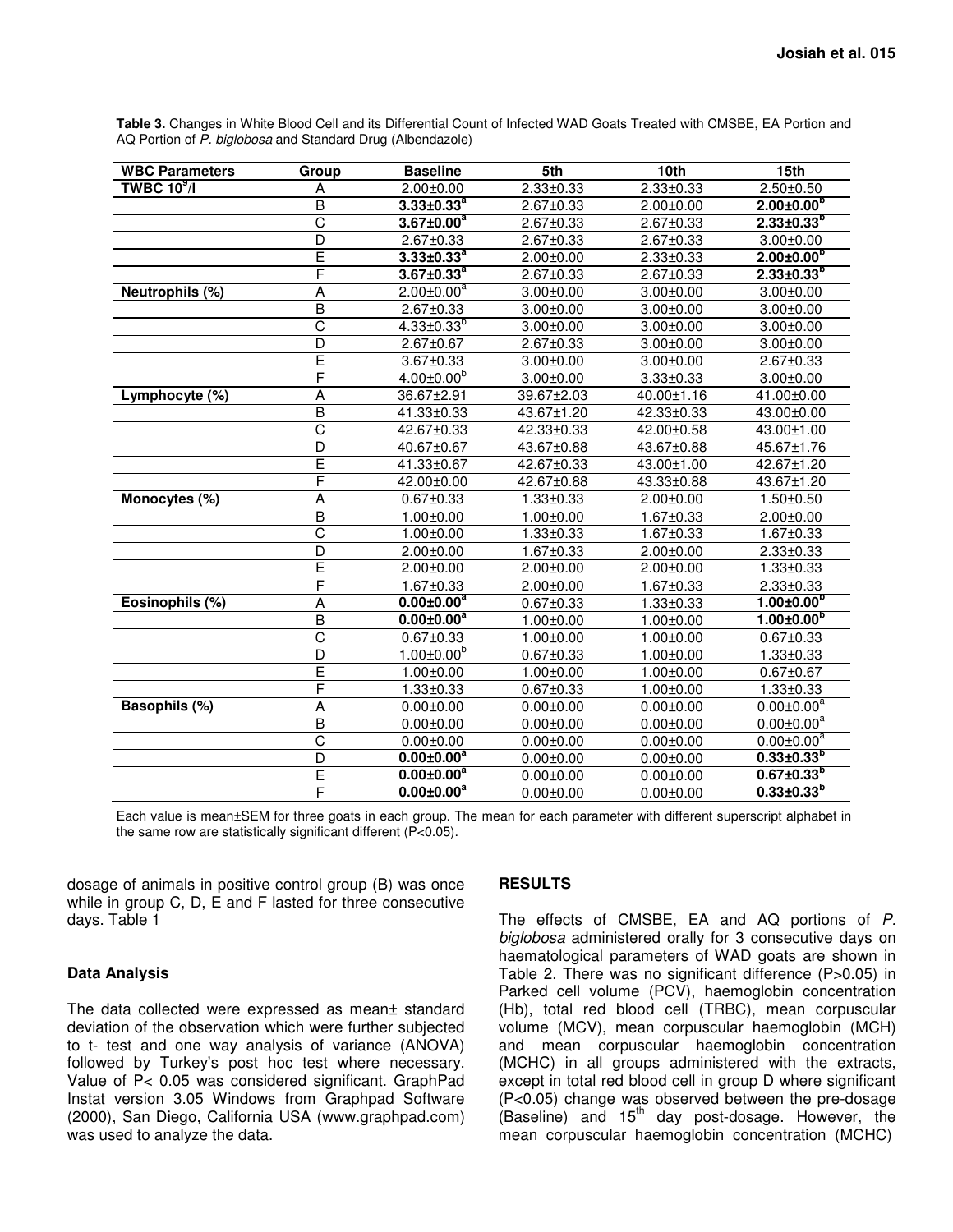| <b>WBC Parameters</b> | Group                   | <b>Baseline</b>              | 5th             | 10th            | 15 <sub>th</sub>               |
|-----------------------|-------------------------|------------------------------|-----------------|-----------------|--------------------------------|
| TWBC $10^9$ /I        | А                       | $2.00 + 0.00$                | $2.33 \pm 0.33$ | $2.33 + 0.33$   | $2.50 \pm 0.50$                |
|                       | $\overline{B}$          | $3.33 \pm 0.33^{a}$          | $2.67 \pm 0.33$ | $2.00 \pm 0.00$ | $2.00 \pm 0.00$ <sup>b</sup>   |
|                       | C                       | $3.67 \pm 0.00^a$            | $2.67 \pm 0.33$ | 2.67±0.33       | $2.33\pm0.33^{b}$              |
|                       | D                       | $2.67 \pm 0.33$              | $2.67 \pm 0.33$ | 2.67±0.33       | $3.00 + 0.00$                  |
|                       | Ē                       | $3.33 \pm 0.33^a$            | $2.00 + 0.00$   | $2.33 \pm 0.33$ | $2.00 \pm 0.00^{6}$            |
|                       | F                       | $3.67 \pm 0.33^a$            | $2.67 + 0.33$   | $2.67 \pm 0.33$ | $2.33 \pm 0.33^{b}$            |
| Neutrophils (%)       | A                       | $2.00 \pm 0.00^a$            | $3.00 \pm 0.00$ | $3.00 \pm 0.00$ | $3.00 \pm 0.00$                |
|                       | $\overline{\mathsf{B}}$ | $2.67 \pm 0.33$              | $3.00 \pm 0.00$ | $3.00 \pm 0.00$ | $3.00 \pm 0.00$                |
|                       | $\overline{\text{c}}$   | $4.33 \pm 0.33^{b}$          | $3.00 + 0.00$   | $3.00 + 0.00$   | $3.00 \pm 0.00$                |
|                       | $\overline{D}$          | $2.67 \pm 0.67$              | 2.67±0.33       | $3.00 \pm 0.00$ | $3.00 \pm 0.00$                |
|                       | Ē                       | $3.67 \pm 0.33$              | $3.00 \pm 0.00$ | $3.00 \pm 0.00$ | $2.67 + 0.33$                  |
|                       | F                       | $4.00 \pm 0.00$ <sup>b</sup> | $3.00 \pm 0.00$ | $3.33 \pm 0.33$ | $3.00 \pm 0.00$                |
| Lymphocyte (%)        | A                       | 36.67±2.91                   | 39.67±2.03      | 40.00±1.16      | 41.00±0.00                     |
|                       | B                       | 41.33±0.33                   | 43.67±1.20      | 42.33±0.33      | 43.00±0.00                     |
|                       | C                       | 42.67±0.33                   | 42.33±0.33      | 42.00±0.58      | 43.00±1.00                     |
|                       | D                       | 40.67±0.67                   | 43.67±0.88      | 43.67±0.88      | 45.67±1.76                     |
|                       | Ē                       | 41.33±0.67                   | 42.67±0.33      | 43.00±1.00      | 42.67±1.20                     |
|                       | F                       | 42.00±0.00                   | 42.67±0.88      | 43.33±0.88      | 43.67±1.20                     |
| Monocytes (%)         | Α                       | $0.67 + 0.33$                | $1.33 \pm 0.33$ | $2.00 \pm 0.00$ | $1.50 + 0.50$                  |
|                       | $\overline{\mathsf{B}}$ | $1.00 \pm 0.00$              | $1.00 \pm 0.00$ | 1.67±0.33       | $2.00 \pm 0.00$                |
|                       | Ć                       | $1.00 + 0.00$                | $1.33 + 0.33$   | $1.67 + 0.33$   | $1.67 + 0.33$                  |
|                       | D                       | $2.00 + 0.00$                | 1.67±0.33       | $2.00 \pm 0.00$ | $2.33 \pm 0.33$                |
|                       | E                       | $2.00 \pm 0.00$              | $2.00 \pm 0.00$ | $2.00 \pm 0.00$ | $1.33 + 0.33$                  |
|                       | F                       | 1.67±0.33                    | $2.00 \pm 0.00$ | $1.67 \pm 0.33$ | $2.33 \pm 0.33$                |
| Eosinophils (%)       | Α                       | $0.00 \pm 0.00^a$            | $0.67 + 0.33$   | $1.33 \pm 0.33$ | $1.00 \pm 0.00^{p}$            |
|                       | $\overline{B}$          | $0.00 \pm 0.00$ <sup>a</sup> | $1.00 + 0.00$   | $1.00 \pm 0.00$ | $1.00 \pm 0.00$ <sup>b</sup>   |
|                       | $\overline{\text{c}}$   | $0.67 + 0.33$                | $1.00 \pm 0.00$ | $1.00 \pm 0.00$ | $0.67 + 0.33$                  |
|                       | D                       | $1.00 \pm 0.00$ <sup>b</sup> | $0.67 + 0.33$   | $1.00 + 0.00$   | $1.33 + 0.33$                  |
|                       | E                       | $1.00 + 0.00$                | $1.00 \pm 0.00$ | $1.00 \pm 0.00$ | $0.67 + 0.67$                  |
|                       | F                       | $1.33 \pm 0.33$              | $0.67 \pm 0.33$ | $1.00 \pm 0.00$ | $1.33 \pm 0.33$                |
| Basophils (%)         | A                       | $0.00 + 0.00$                | $0.00 \pm 0.00$ | $0.00 \pm 0.00$ | $0.00 \pm 0.00^{\overline{a}}$ |
|                       | $\overline{B}$          | $0.00 + 0.00$                | $0.00 \pm 0.00$ | $0.00 + 0.00$   | $0.00 \pm 0.00^a$              |
|                       | $\overline{C}$          | $0.00 + 0.00$                | $0.00 + 0.00$   | $0.00 + 0.00$   | $0.00 \pm 0.00^a$              |
|                       | D                       | $0.00 \pm 0.00^a$            | $0.00 \pm 0.00$ | $0.00 \pm 0.00$ | $0.33\pm0.33^{b}$              |

**Table 3.** Changes in White Blood Cell and its Differential Count of Infected WAD Goats Treated with CMSBE, EA Portion and AQ Portion of P. biglobosa and Standard Drug (Albendazole)

Each value is mean±SEM for three goats in each group. The mean for each parameter with different superscript alphabet in the same row are statistically significant different (P<0.05).

E **0.00±0.00<sup>a</sup>**

F **0.00±0.00<sup>a</sup>**

dosage of animals in positive control group (B) was once while in group C, D, E and F lasted for three consecutive days. Table 1

### **Data Analysis**

The data collected were expressed as mean± standard deviation of the observation which were further subjected to t- test and one way analysis of variance (ANOVA) followed by Turkey's post hoc test where necessary. Value of P< 0.05 was considered significant. GraphPad Instat version 3.05 Windows from Graphpad Software (2000), San Diego, California USA (www.graphpad.com) was used to analyze the data.

#### **RESULTS**

The effects of CMSBE, EA and AQ portions of P. biglobosa administered orally for 3 consecutive days on haematological parameters of WAD goats are shown in Table 2. There was no significant difference (P>0.05) in Parked cell volume (PCV), haemoglobin concentration (Hb), total red blood cell (TRBC), mean corpuscular volume (MCV), mean corpuscular haemoglobin (MCH) and mean corpuscular haemoglobin concentration (MCHC) in all groups administered with the extracts, except in total red blood cell in group D where significant (P<0.05) change was observed between the pre-dosage  $(Baseline)$  and  $15<sup>th</sup>$  day post-dosage. However, the mean corpuscular haemoglobin concentration (MCHC)

0.00±0.00 0.00±0.00 **0.67±0.33<sup>b</sup>**

0.00±0.00 0.00±0.00 **0.33±0.33<sup>b</sup>**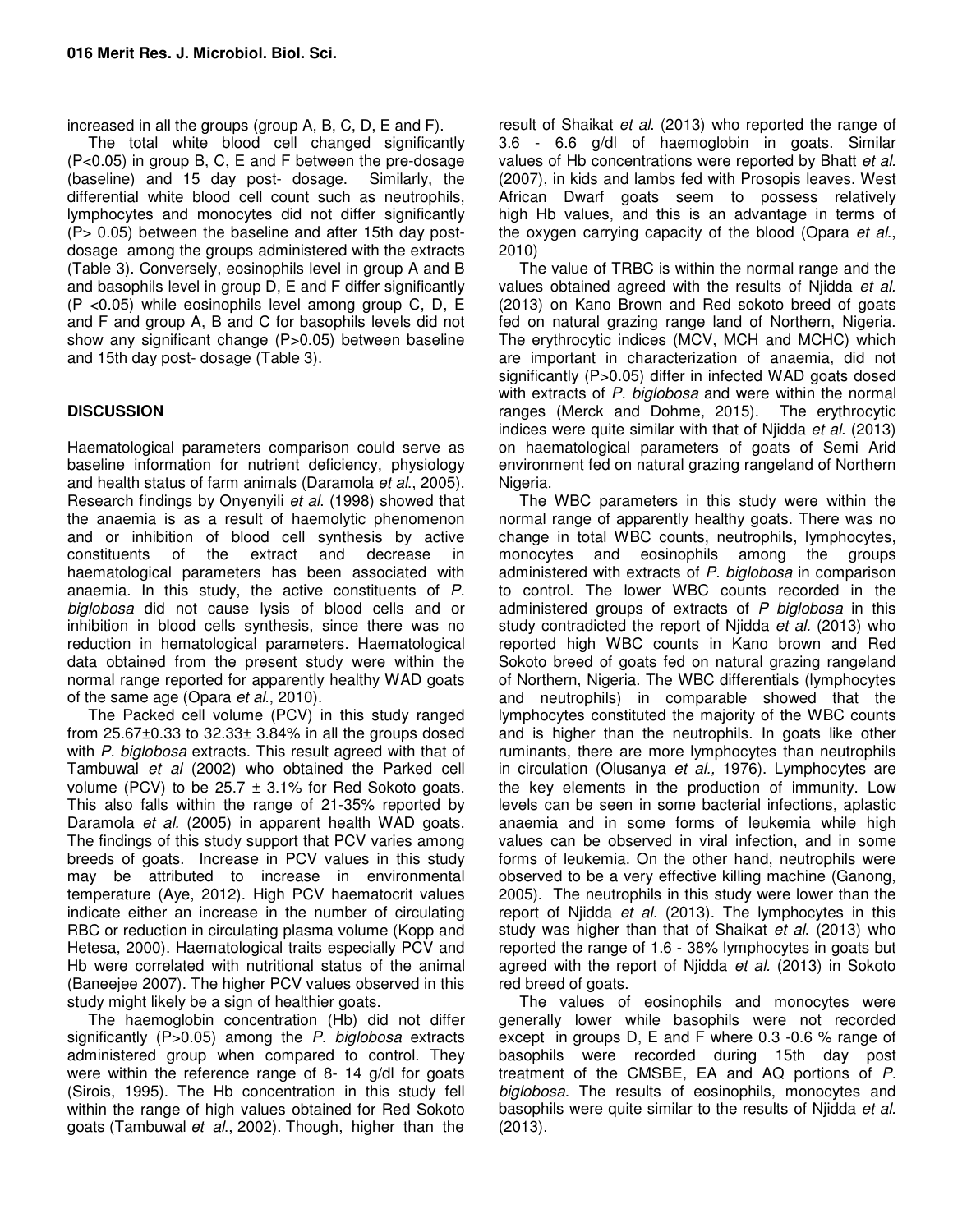increased in all the groups (group A, B, C, D, E and F).

The total white blood cell changed significantly (P<0.05) in group B, C, E and F between the pre-dosage (baseline) and 15 day post- dosage. Similarly, the differential white blood cell count such as neutrophils, lymphocytes and monocytes did not differ significantly (P> 0.05) between the baseline and after 15th day postdosage among the groups administered with the extracts (Table 3). Conversely, eosinophils level in group A and B and basophils level in group D, E and F differ significantly (P <0.05) while eosinophils level among group C, D, E and F and group A, B and C for basophils levels did not show any significant change (P>0.05) between baseline and 15th day post- dosage (Table 3).

## **DISCUSSION**

Haematological parameters comparison could serve as baseline information for nutrient deficiency, physiology and health status of farm animals (Daramola et al., 2005). Research findings by Onyenyili et al. (1998) showed that the anaemia is as a result of haemolytic phenomenon and or inhibition of blood cell synthesis by active constituents of the extract and decrease in haematological parameters has been associated with anaemia. In this study, the active constituents of P. biglobosa did not cause lysis of blood cells and or inhibition in blood cells synthesis, since there was no reduction in hematological parameters. Haematological data obtained from the present study were within the normal range reported for apparently healthy WAD goats of the same age (Opara *et al.*, 2010).

The Packed cell volume (PCV) in this study ranged from  $25.67\pm0.33$  to  $32.33\pm3.84\%$  in all the groups dosed with P. biglobosa extracts. This result agreed with that of Tambuwal et al (2002) who obtained the Parked cell volume (PCV) to be  $25.7 \pm 3.1\%$  for Red Sokoto goats. This also falls within the range of 21-35% reported by Daramola et al. (2005) in apparent health WAD goats. The findings of this study support that PCV varies among breeds of goats. Increase in PCV values in this study may be attributed to increase in environmental temperature (Aye, 2012). High PCV haematocrit values indicate either an increase in the number of circulating RBC or reduction in circulating plasma volume (Kopp and Hetesa, 2000). Haematological traits especially PCV and Hb were correlated with nutritional status of the animal (Baneejee 2007). The higher PCV values observed in this study might likely be a sign of healthier goats.

The haemoglobin concentration (Hb) did not differ significantly (P>0.05) among the P. biglobosa extracts administered group when compared to control. They were within the reference range of 8- 14 g/dl for goats (Sirois, 1995). The Hb concentration in this study fell within the range of high values obtained for Red Sokoto goats (Tambuwal et al., 2002). Though, higher than the

result of Shaikat et al. (2013) who reported the range of 3.6 - 6.6 g/dl of haemoglobin in goats. Similar values of Hb concentrations were reported by Bhatt et al. (2007), in kids and lambs fed with Prosopis leaves. West African Dwarf goats seem to possess relatively high Hb values, and this is an advantage in terms of the oxygen carrying capacity of the blood (Opara et al., 2010)

The value of TRBC is within the normal range and the values obtained agreed with the results of Njidda et al. (2013) on Kano Brown and Red sokoto breed of goats fed on natural grazing range land of Northern, Nigeria. The erythrocytic indices (MCV, MCH and MCHC) which are important in characterization of anaemia, did not significantly (P>0.05) differ in infected WAD goats dosed with extracts of P. biglobosa and were within the normal ranges (Merck and Dohme, 2015). The erythrocytic indices were quite similar with that of Njidda et al. (2013) on haematological parameters of goats of Semi Arid environment fed on natural grazing rangeland of Northern Nigeria.

The WBC parameters in this study were within the normal range of apparently healthy goats. There was no change in total WBC counts, neutrophils, lymphocytes, monocytes and eosinophils among the groups administered with extracts of P. biglobosa in comparison to control. The lower WBC counts recorded in the administered groups of extracts of  $P$  biglobosa in this study contradicted the report of Njidda et al. (2013) who reported high WBC counts in Kano brown and Red Sokoto breed of goats fed on natural grazing rangeland of Northern, Nigeria. The WBC differentials (lymphocytes and neutrophils) in comparable showed that the lymphocytes constituted the majority of the WBC counts and is higher than the neutrophils. In goats like other ruminants, there are more lymphocytes than neutrophils in circulation (Olusanya et al., 1976). Lymphocytes are the key elements in the production of immunity. Low levels can be seen in some bacterial infections, aplastic anaemia and in some forms of leukemia while high values can be observed in viral infection, and in some forms of leukemia. On the other hand, neutrophils were observed to be a very effective killing machine (Ganong, 2005). The neutrophils in this study were lower than the report of Njidda et al. (2013). The lymphocytes in this study was higher than that of Shaikat et al. (2013) who reported the range of 1.6 - 38% lymphocytes in goats but agreed with the report of Njidda et al. (2013) in Sokoto red breed of goats.

The values of eosinophils and monocytes were generally lower while basophils were not recorded except in groups D, E and F where 0.3 -0.6 % range of basophils were recorded during 15th day post treatment of the CMSBE, EA and AQ portions of P. biglobosa. The results of eosinophils, monocytes and basophils were quite similar to the results of Niidda et al. (2013).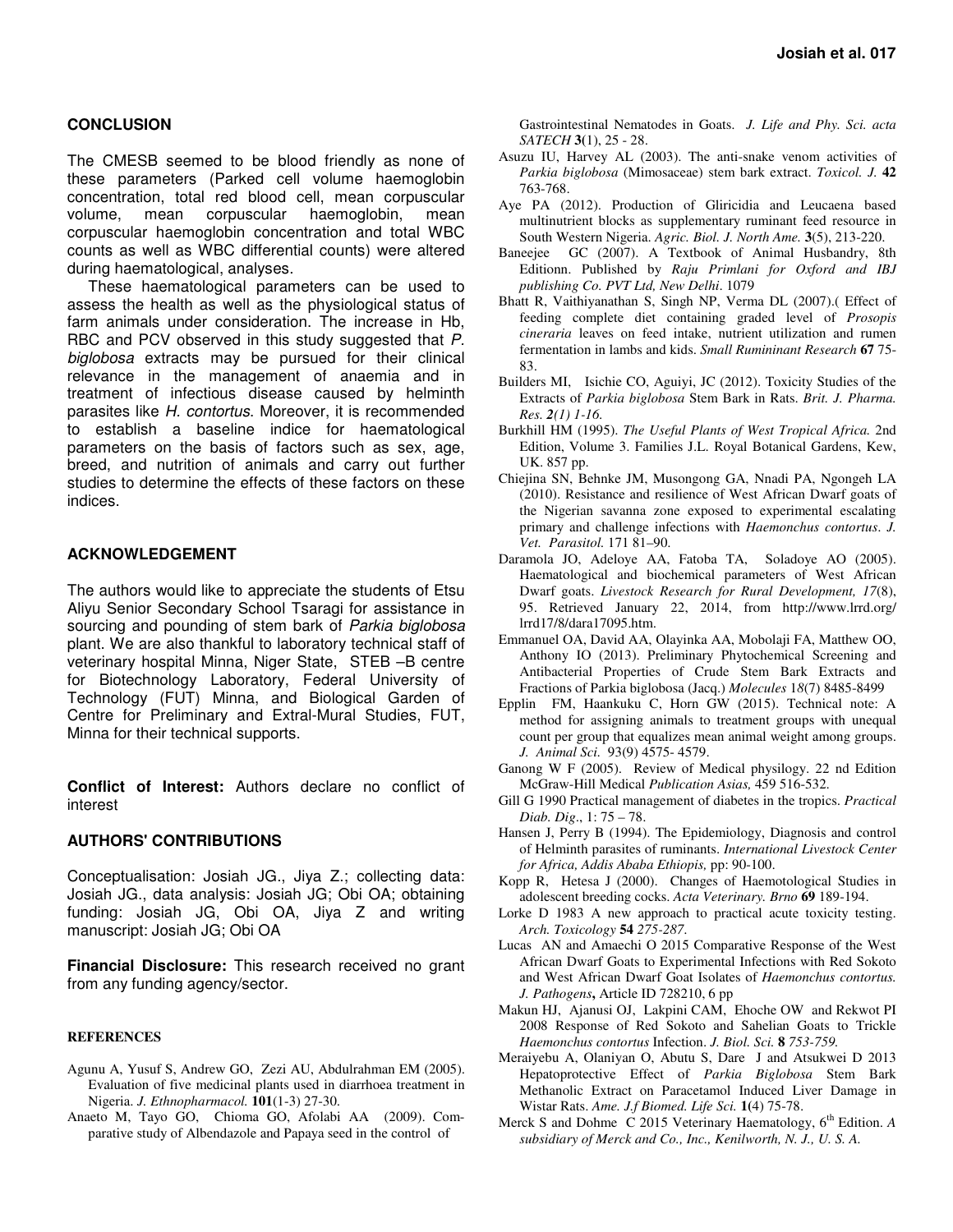#### **CONCLUSION**

The CMESB seemed to be blood friendly as none of these parameters (Parked cell volume haemoglobin concentration, total red blood cell, mean corpuscular volume, mean corpuscular haemoglobin, mean corpuscular haemoglobin concentration and total WBC counts as well as WBC differential counts) were altered during haematological, analyses.

These haematological parameters can be used to assess the health as well as the physiological status of farm animals under consideration. The increase in Hb, RBC and PCV observed in this study suggested that P. biglobosa extracts may be pursued for their clinical relevance in the management of anaemia and in treatment of infectious disease caused by helminth parasites like H. contortus. Moreover, it is recommended to establish a baseline indice for haematological parameters on the basis of factors such as sex, age, breed, and nutrition of animals and carry out further studies to determine the effects of these factors on these indices.

#### **ACKNOWLEDGEMENT**

The authors would like to appreciate the students of Etsu Aliyu Senior Secondary School Tsaragi for assistance in sourcing and pounding of stem bark of Parkia biglobosa plant. We are also thankful to laboratory technical staff of veterinary hospital Minna, Niger State, STEB –B centre for Biotechnology Laboratory, Federal University of Technology (FUT) Minna, and Biological Garden of Centre for Preliminary and Extral-Mural Studies, FUT, Minna for their technical supports.

**Conflict of Interest:** Authors declare no conflict of interest

### **AUTHORS' CONTRIBUTIONS**

Conceptualisation: Josiah JG., Jiya Z.; collecting data: Josiah JG., data analysis: Josiah JG; Obi OA; obtaining funding: Josiah JG, Obi OA, Jiya Z and writing manuscript: Josiah JG; Obi OA

**Financial Disclosure:** This research received no grant from any funding agency/sector.

#### **REFERENCES**

- Agunu A, Yusuf S, Andrew GO, Zezi AU, Abdulrahman EM (2005). Evaluation of five medicinal plants used in diarrhoea treatment in Nigeria. *J. Ethnopharmacol.* **101**(1-3) 27-30.
- Anaeto M, Tayo GO, Chioma GO, Afolabi AA (2009). Comparative study of Albendazole and Papaya seed in the control of

Gastrointestinal Nematodes in Goats. *J. Life and Phy. Sci. acta SATECH* **3(**1), 25 - 28.

- Asuzu IU, Harvey AL (2003). The anti-snake venom activities of *Parkia biglobosa* (Mimosaceae) stem bark extract. *Toxicol. J.* **42**  763-768.
- Aye PA (2012). Production of Gliricidia and Leucaena based multinutrient blocks as supplementary ruminant feed resource in South Western Nigeria. *Agric. Biol. J. North Ame.* **3**(5), 213-220.
- Baneejee GC (2007). A Textbook of Animal Husbandry, 8th Editionn. Published by *Raju Primlani for Oxford and IBJ publishing Co. PVT Ltd, New Delhi*. 1079
- Bhatt R, Vaithiyanathan S, Singh NP, Verma DL (2007).( Effect of feeding complete diet containing graded level of *Prosopis cineraria* leaves on feed intake, nutrient utilization and rumen fermentation in lambs and kids. *Small Rumininant Research* **67** 75- 83.
- Builders MI, Isichie CO, Aguiyi, JC (2012). Toxicity Studies of the Extracts of *Parkia biglobosa* Stem Bark in Rats. *Brit. J. Pharma. Res. 2(1) 1-16.*
- Burkhill HM (1995). *The Useful Plants of West Tropical Africa.* 2nd Edition, Volume 3. Families J.L. Royal Botanical Gardens, Kew, UK. 857 pp.
- Chiejina SN, Behnke JM, Musongong GA, Nnadi PA, Ngongeh LA (2010). Resistance and resilience of West African Dwarf goats of the Nigerian savanna zone exposed to experimental escalating primary and challenge infections with *Haemonchus contortus*. *J. Vet. Parasitol.* 171 81–90.
- Daramola JO, Adeloye AA, Fatoba TA, Soladoye AO (2005). Haematological and biochemical parameters of West African Dwarf goats. *Livestock Research for Rural Development, 17*(8), 95. Retrieved January 22, 2014, from http://www.lrrd.org/ lrrd17/8/dara17095.htm.
- Emmanuel OA, David AA, Olayinka AA, Mobolaji FA, Matthew OO, Anthony IO (2013). Preliminary Phytochemical Screening and Antibacterial Properties of Crude Stem Bark Extracts and Fractions of Parkia biglobosa (Jacq.) *Molecules* 1*8*(7) 8485-8499
- Epplin FM, Haankuku C, Horn GW (2015). Technical note: A method for assigning animals to treatment groups with unequal count per group that equalizes mean animal weight among groups. *J. Animal Sci.* 93(9) 4575- 4579.
- Ganong W F (2005). Review of Medical physilogy. 22 nd Edition McGraw-Hill Medical *Publication Asias,* 459 516-532.
- Gill G 1990 Practical management of diabetes in the tropics. *Practical Diab. Dig*., 1: 75 – 78.
- Hansen J, Perry B (1994). The Epidemiology, Diagnosis and control of Helminth parasites of ruminants. *International Livestock Center for Africa, Addis Ababa Ethiopis,* pp: 90-100.
- Kopp R, Hetesa J (2000). Changes of Haemotological Studies in adolescent breeding cocks. *Acta Veterinary. Brno* **69** 189-194.
- Lorke D 1983 A new approach to practical acute toxicity testing. *Arch. Toxicology* **54** *275-287*.
- Lucas AN and Amaechi O 2015 Comparative Response of the West African Dwarf Goats to Experimental Infections with Red Sokoto and West African Dwarf Goat Isolates of *Haemonchus contortus. J. Pathogens***,** Article ID 728210, 6 pp
- Makun HJ, Ajanusi OJ, Lakpini CAM, Ehoche OW and Rekwot PI 2008 Response of Red Sokoto and Sahelian Goats to Trickle *Haemonchus contortus* Infection. *J. Biol. Sci.* **8** *753-759.*
- Meraiyebu A, Olaniyan O, Abutu S, Dare J and Atsukwei D 2013 Hepatoprotective Effect of *Parkia Biglobosa* Stem Bark Methanolic Extract on Paracetamol Induced Liver Damage in Wistar Rats. *Ame. J.f Biomed. Life Sci.* **1(**4) 75-78.
- Merck S and Dohme C 2015 Veterinary Haematology, 6<sup>th</sup> Edition. *A subsidiary of Merck and Co., Inc., Kenilworth, N. J., U. S. A.*